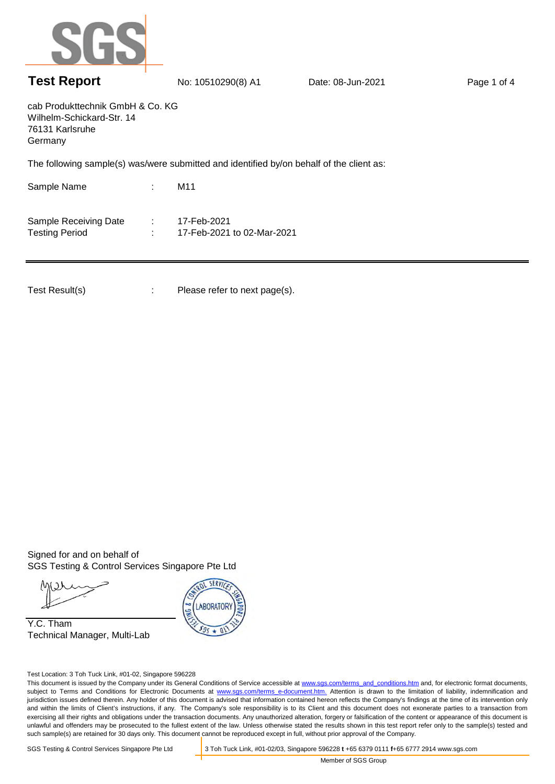

## **Test Report** No: 10510290(8) A1 Date: 08-Jun-2021 Page 1 of 4

cab Produkttechnik GmbH & Co. KG Wilhelm-Schickard-Str. 14 76131 Karlsruhe Germany

The following sample(s) was/were submitted and identified by/on behalf of the client as:

Sample Name : : Sample Receiving Date : 17-Feb-2021 Testing Period : 17-Feb-2021 to 02-Mar-2021 M11

Test Result(s) : Please refer to next page(s).

Signed for and on behalf of SGS Testing & Control Services Singapore Pte Ltd

Y.C. Tham Technical Manager, Multi-Lab



Test Location: 3 Toh Tuck Link, #01-02, Singapore 596228

This document is issued by the Company under its General Conditions of Service accessible at www.sgs.com/terms\_and\_conditions.htm and, for electronic format documents, subject to Terms and Conditions for Electronic Documents at www.sgs.com/terms\_e-document.htm. Attention is drawn to the limitation of liability, indemnification and jurisdiction issues defined therein. Any holder of this document is advised that information contained hereon reflects the Company's findings at the time of its intervention only and within the limits of Client's instructions, if any. The Company's sole responsibility is to its Client and this document does not exonerate parties to a transaction from exercising all their rights and obligations under the transaction documents. Any unauthorized alteration, forgery or falsification of the content or appearance of this document is unlawful and offenders may be prosecuted to the fullest extent of the law. Unless otherwise stated the results shown in this test report refer only to the sample(s) tested and such sample(s) are retained for 30 days only. This document cannot be reproduced except in full, without prior approval of the Company.

SGS Testing & Control Services Singapore Pte Ltd 3 Toh Tuck Link, #01-02/03, Singapore 596228 **t** +65 6379 0111 **f**+65 6777 2914 www.sgs.com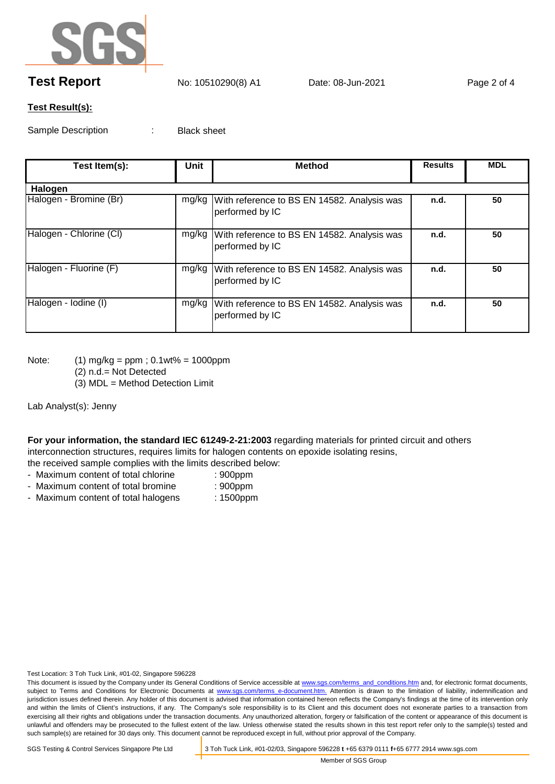

## **Test Report** No: 10510290(8) A1 Date: 08-Jun-2021 Page 2 of 4

## **Test Result(s):**

Sample Description : Black sheet

| Test Item(s):           | Unit | <b>Method</b>                                                          | <b>Results</b> | <b>MDL</b> |
|-------------------------|------|------------------------------------------------------------------------|----------------|------------|
| Halogen                 |      |                                                                        |                |            |
| Halogen - Bromine (Br)  |      | mg/kg   With reference to BS EN 14582. Analysis was<br>performed by IC | n.d.           | 50         |
| Halogen - Chlorine (CI) |      | mg/kg   With reference to BS EN 14582. Analysis was<br>performed by IC | n.d.           | 50         |
| Halogen - Fluorine (F)  |      | mg/kg With reference to BS EN 14582. Analysis was<br>performed by IC   | n.d.           | 50         |
| Halogen - Iodine (I)    |      | mg/kg   With reference to BS EN 14582. Analysis was<br>performed by IC | n.d.           | 50         |

- Note: (1) mg/kg = ppm ; 0.1wt% = 1000ppm
	- (2) n.d.= Not Detected
	- (3) MDL = Method Detection Limit

Lab Analyst(s): Jenny

**For your information, the standard IEC 61249-2-21:2003** regarding materials for printed circuit and others interconnection structures, requires limits for halogen contents on epoxide isolating resins, the received sample complies with the limits described below:

- Maximum content of total chlorine : 900ppm
- Maximum content of total bromine : 900ppm
	-
- Maximum content of total halogens : 1500ppm
	-

Test Location: 3 Toh Tuck Link, #01-02, Singapore 596228

This document is issued by the Company under its General Conditions of Service accessible at www.sgs.com/terms\_and\_conditions.htm and, for electronic format documents, subject to Terms and Conditions for Electronic Documents at www.sgs.com/terms\_e-document.htm. Attention is drawn to the limitation of liability, indemnification and jurisdiction issues defined therein. Any holder of this document is advised that information contained hereon reflects the Company's findings at the time of its intervention only and within the limits of Client's instructions, if any. The Company's sole responsibility is to its Client and this document does not exonerate parties to a transaction from exercising all their rights and obligations under the transaction documents. Any unauthorized alteration, forgery or falsification of the content or appearance of this document is unlawful and offenders may be prosecuted to the fullest extent of the law. Unless otherwise stated the results shown in this test report refer only to the sample(s) tested and such sample(s) are retained for 30 days only. This document cannot be reproduced except in full, without prior approval of the Company.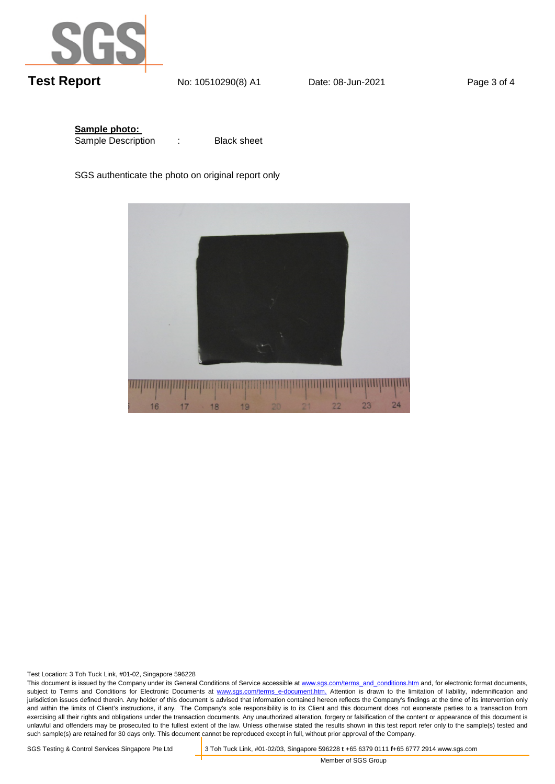

**Sample photo:**  Sample Description

Black sheet

SGS authenticate the photo on original report only



Test Location: 3 Toh Tuck Link, #01-02, Singapore 596228

This document is issued by the Company under its General Conditions of Service accessible at www.sgs.com/terms\_and\_conditions.htm and, for electronic format documents, subject to Terms and Conditions for Electronic Documents at www.sgs.com/terms\_e-document.htm. Attention is drawn to the limitation of liability, indemnification and jurisdiction issues defined therein. Any holder of this document is advised that information contained hereon reflects the Company's findings at the time of its intervention only and within the limits of Client's instructions, if any. The Company's sole responsibility is to its Client and this document does not exonerate parties to a transaction from exercising all their rights and obligations under the transaction documents. Any unauthorized alteration, forgery or falsification of the content or appearance of this document is unlawful and offenders may be prosecuted to the fullest extent of the law. Unless otherwise stated the results shown in this test report refer only to the sample(s) tested and such sample(s) are retained for 30 days only. This document cannot be reproduced except in full, without prior approval of the Company.

SGS Testing & Control Services Singapore Pte Ltd 3 Toh Tuck Link, #01-02/03, Singapore 596228 **t** +65 6379 0111 **f**+65 6777 2914 www.sgs.com